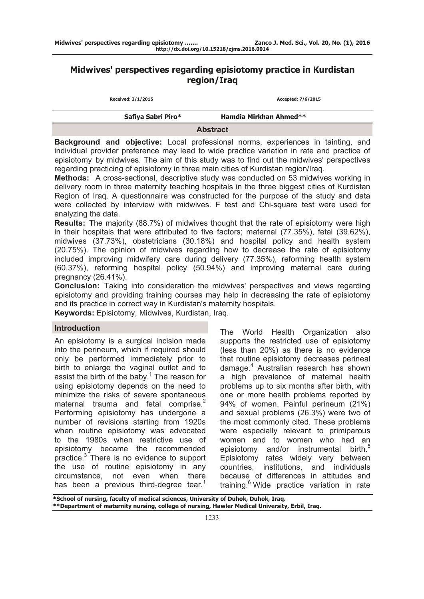# **Midwives' perspectives regarding episiotomy practice in Kurdistan region/Iraq**

| Received: 2/1/2015 | Accepted: 7/6/2015     |
|--------------------|------------------------|
| Safiya Sabri Piro* | Hamdia Mirkhan Ahmed** |
|                    | <b>Abstract</b>        |

**Background and objective:** Local professional norms, experiences in tainting, and individual provider preference may lead to wide practice variation in rate and practice of episiotomy by midwives. The aim of this study was to find out the midwives' perspectives regarding practicing of episiotomy in three main cities of Kurdistan region/Iraq.

**Methods:** A cross-sectional, descriptive study was conducted on 53 midwives working in delivery room in three maternity teaching hospitals in the three biggest cities of Kurdistan Region of Iraq. A questionnaire was constructed for the purpose of the study and data were collected by interview with midwives. F test and Chi-square test were used for analyzing the data.

**Results:** The majority (88.7%) of midwives thought that the rate of episiotomy were high in their hospitals that were attributed to five factors; maternal (77.35%), fetal (39.62%), midwives (37.73%), obstetricians (30.18%) and hospital policy and health system (20.75%). The opinion of midwives regarding how to decrease the rate of episiotomy included improving midwifery care during delivery (77.35%), reforming health system (60.37%), reforming hospital policy (50.94%) and improving maternal care during pregnancy (26.41%).

**Conclusion:** Taking into consideration the midwives' perspectives and views regarding episiotomy and providing training courses may help in decreasing the rate of episiotomy and its practice in correct way in Kurdistan's maternity hospitals.

**Keywords:** Episiotomy, Midwives, Kurdistan, Iraq.

#### **Introduction**

An episiotomy is a surgical incision made into the perineum, which if required should only be performed immediately prior to birth to enlarge the vaginal outlet and to assist the birth of the baby. $1$  The reason for using episiotomy depends on the need to minimize the risks of severe spontaneous maternal trauma and fetal comprise.<sup>2</sup> Performing episiotomy has undergone a number of revisions starting from 1920s when routine episiotomy was advocated to the 1980s when restrictive use of episiotomy became the recommended practice.<sup>3</sup> There is no evidence to support the use of routine episiotomy in any circumstance, not even when there has been a previous third-degree tear.<sup>1</sup>

The World Health Organization also supports the restricted use of episiotomy (less than 20%) as there is no evidence that routine episiotomy decreases perineal damage.<sup>4</sup> Australian research has shown a high prevalence of maternal health problems up to six months after birth, with one or more health problems reported by 94% of women. Painful perineum (21%) and sexual problems (26.3%) were two of the most commonly cited. These problems were especially relevant to primiparous women and to women who had an episiotomy and/or instrumental birth.<sup>5</sup> Episiotomy rates widely vary between countries, institutions, and individuals because of differences in attitudes and training.<sup>6</sup> Wide practice variation in rate

**\*School of nursing, faculty of medical sciences, University of Duhok, Duhok, Iraq. \*\*Department of maternity nursing, college of nursing, Hawler Medical University, Erbil, Iraq.**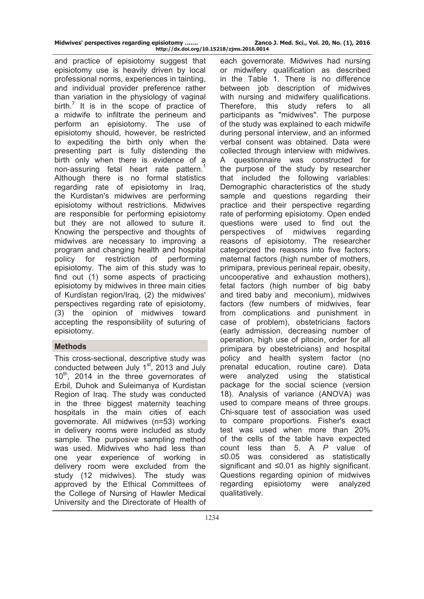| Midwives' perspectives regarding episiotomy | Zanco J. Med. Sci., Vol. 20, No. (1), 2016 |
|---------------------------------------------|--------------------------------------------|
| http://dx.doi.org/10.15218/zjms.2016.0014   |                                            |

and practice of episiotomy suggest that episiotomy use is heavily driven by local professional norms, experiences in tainting, and individual provider preference rather than variation in the physiology of vaginal birth.<sup>7</sup> It is in the scope of practice of a midwife to infiltrate the perineum and perform an episiotomy. The use of episiotomy should, however, be restricted to expediting the birth only when the presenting part is fully distending the birth only when there is evidence of a non-assuring fetal heart rate pattern.<sup>1</sup> Although there is no formal statistics regarding rate of episiotomy in Iraq, the Kurdistan's midwives are performing episiotomy without restrictions. Midwives are responsible for performing episiotomy but they are not allowed to suture it. Knowing the perspective and thoughts of midwives are necessary to improving a program and changing health and hospital policy for restriction of performing episiotomy. The aim of this study was to find out (1) some aspects of practicing episiotomy by midwives in three main cities of Kurdistan region/Iraq, (2) the midwives' perspectives regarding rate of episiotomy, (3) the opinion of midwives toward accepting the responsibility of suturing of episiotomy.

# **Methods**

This cross-sectional, descriptive study was conducted between July 1<sup>st</sup>, 2013 and July  $10^{th}$ , 2014 in the three governorates of Erbil, Duhok and Suleimanya of Kurdistan Region of Iraq. The study was conducted in the three biggest maternity teaching hospitals in the main cities of each governorate. All midwives (n=53) working in delivery rooms were included as study sample. The purposive sampling method was used. Midwives who had less than one year experience of working in delivery room were excluded from the study (12 midwives). The study was approved by the Ethical Committees of the College of Nursing of Hawler Medical University and the Directorate of Health of

each governorate. Midwives had nursing or midwifery qualification as described in the Table 1. There is no difference between job description of midwives with nursing and midwifery qualifications. Therefore, this study refers to all participants as "midwives". The purpose of the study was explained to each midwife during personal interview, and an informed verbal consent was obtained. Data were collected through interview with midwives. A questionnaire was constructed for the purpose of the study by researcher that included the following variables: Demographic characteristics of the study sample and questions regarding their practice and their perspective regarding rate of performing episiotomy. Open ended questions were used to find out the perspectives of midwives regarding reasons of episiotomy. The researcher categorized the reasons into five factors; maternal factors (high number of mothers, primipara, previous perineal repair, obesity, uncooperative and exhaustion mothers), fetal factors (high number of big baby and tired baby and meconium), midwives factors (few numbers of midwives, fear from complications and punishment in case of problem), obstetricians factors (early admission, decreasing number of operation, high use of pitocin, order for all primipara by obestetricians) and hospital policy and health system factor (no prenatal education, routine care). Data were analyzed using the statistical package for the social science (version 18). Analysis of variance (ANOVA) was used to compare means of three groups. Chi-square test of association was used to compare proportions. Fisher's exact test was used when more than 20% of the cells of the table have expected count less than 5. A *P* value of ≤0.05 was considered as statistically significant and ≤0.01 as highly significant. Questions regarding opinion of midwives regarding episiotomy were analyzed qualitatively.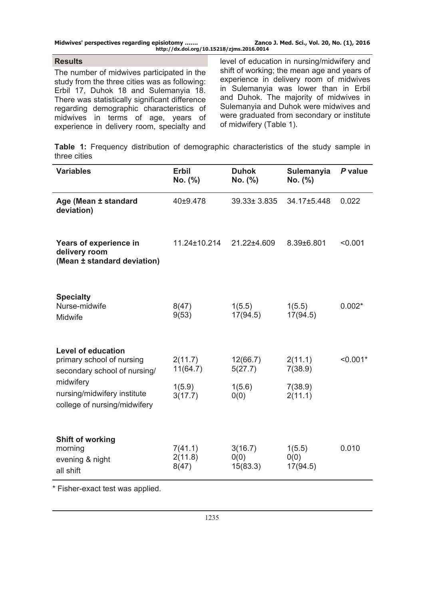| Midwives' perspectives regarding episiotomy | Zanco J. Med. Sci., Vol. 20, No. (1), 2016 |
|---------------------------------------------|--------------------------------------------|
| http://dx.doi.org/10.15218/zjms.2016.0014   |                                            |

# **Results**

The number of midwives participated in the study from the three cities was as following: Erbil 17, Duhok 18 and Sulemanyia 18. There was statistically significant difference regarding demographic characteristics of midwives in terms of age, years of experience in delivery room, specialty and

level of education in nursing/midwifery and shift of working; the mean age and years of experience in delivery room of midwives in Sulemanyia was lower than in Erbil and Duhok. The majority of midwives in Sulemanyia and Duhok were midwives and were graduated from secondary or institute of midwifery (Table 1).

**Table 1:** Frequency distribution of demographic characteristics of the study sample in three cities

| <b>Variables</b>                                                                       | <b>Erbil</b><br>No. (%)     | <b>Duhok</b><br>No. (%)     | Sulemanyia<br>No. (%)      | P value    |
|----------------------------------------------------------------------------------------|-----------------------------|-----------------------------|----------------------------|------------|
| Age (Mean ± standard<br>deviation)                                                     | 40±9.478                    | 39.33± 3.835                | 34.17±5.448                | 0.022      |
| Years of experience in<br>delivery room<br>(Mean ± standard deviation)                 | 11.24±10.214                | 21.22±4.609                 | 8.39±6.801                 | < 0.001    |
| <b>Specialty</b><br>Nurse-midwife<br>Midwife                                           | 8(47)<br>9(53)              | 1(5.5)<br>17(94.5)          | 1(5.5)<br>17(94.5)         | $0.002*$   |
| <b>Level of education</b><br>primary school of nursing<br>secondary school of nursing/ | 2(11.7)<br>11(64.7)         | 12(66.7)<br>5(27.7)         | 2(11.1)<br>7(38.9)         | $< 0.001*$ |
| midwifery<br>nursing/midwifery institute<br>college of nursing/midwifery               | 1(5.9)<br>3(17.7)           | 1(5.6)<br>0(0)              | 7(38.9)<br>2(11.1)         |            |
| <b>Shift of working</b><br>morning<br>evening & night<br>all shift                     | 7(41.1)<br>2(11.8)<br>8(47) | 3(16.7)<br>0(0)<br>15(83.3) | 1(5.5)<br>0(0)<br>17(94.5) | 0.010      |

\* Fisher-exact test was applied.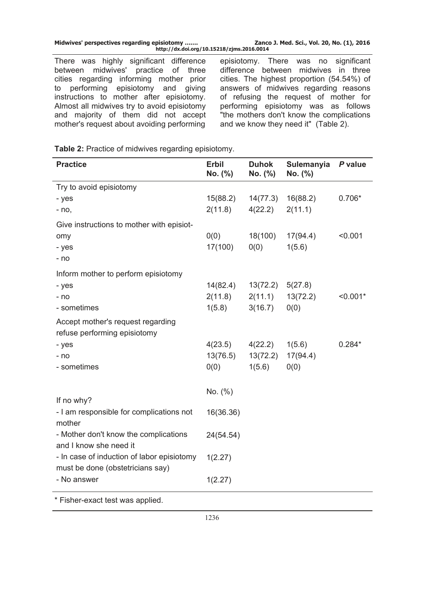| Midwives' perspectives regarding episiotomy<br>http://dx.doi.org/10.15218/zjms.2016.0014 |  | Zanco J. Med. Sci., Vol. 20, No. (1), 2016 |
|------------------------------------------------------------------------------------------|--|--------------------------------------------|
|------------------------------------------------------------------------------------------|--|--------------------------------------------|

There was highly significant difference between midwives' practice of three cities regarding informing mother prior to performing episiotomy and giving instructions to mother after episiotomy. Almost all midwives try to avoid episiotomy and majority of them did not accept mother's request about avoiding performing

episiotomy. There was no significant difference between midwives in three cities. The highest proportion (54.54%) of answers of midwives regarding reasons of refusing the request of mother for performing episiotomy was as follows "the mothers don't know the complications and we know they need it" (Table 2).

**Table 2:** Practice of midwives regarding episiotomy.

| <b>Practice</b>                                                                | Erbil<br>No. (%) | <b>Duhok</b><br>No. (%) | Sulemanyia<br>No. (%) | P value    |
|--------------------------------------------------------------------------------|------------------|-------------------------|-----------------------|------------|
| Try to avoid episiotomy                                                        |                  |                         |                       |            |
| - yes                                                                          | 15(88.2)         | 14(77.3)                | 16(88.2)              | $0.706*$   |
| $- no,$                                                                        | 2(11.8)          | 4(22.2)                 | 2(11.1)               |            |
| Give instructions to mother with episiot-                                      |                  |                         |                       |            |
| omy                                                                            | 0(0)             | 18(100)                 | 17(94.4)              | < 0.001    |
| - yes                                                                          | 17(100)          | 0(0)                    | 1(5.6)                |            |
| - no                                                                           |                  |                         |                       |            |
| Inform mother to perform episiotomy                                            |                  |                         |                       |            |
| - yes                                                                          | 14(82.4)         | 13(72.2)                | 5(27.8)               |            |
| - no                                                                           | 2(11.8)          | 2(11.1)                 | 13(72.2)              | $< 0.001*$ |
| - sometimes                                                                    | 1(5.8)           | 3(16.7)                 | 0(0)                  |            |
| Accept mother's request regarding                                              |                  |                         |                       |            |
| refuse performing episiotomy                                                   |                  |                         |                       |            |
| - yes                                                                          | 4(23.5)          | 4(22.2)                 | 1(5.6)                | $0.284*$   |
| - no                                                                           | 13(76.5)         | 13(72.2)                | 17(94.4)              |            |
| - sometimes                                                                    | 0(0)             | 1(5.6)                  | 0(0)                  |            |
|                                                                                | No. (%)          |                         |                       |            |
| If no why?                                                                     |                  |                         |                       |            |
| - I am responsible for complications not<br>mother                             | 16(36.36)        |                         |                       |            |
| - Mother don't know the complications<br>and I know she need it                | 24(54.54)        |                         |                       |            |
| - In case of induction of labor episiotomy<br>must be done (obstetricians say) | 1(2.27)          |                         |                       |            |
| - No answer                                                                    | 1(2.27)          |                         |                       |            |
| * Fisher-exact test was applied.                                               |                  |                         |                       |            |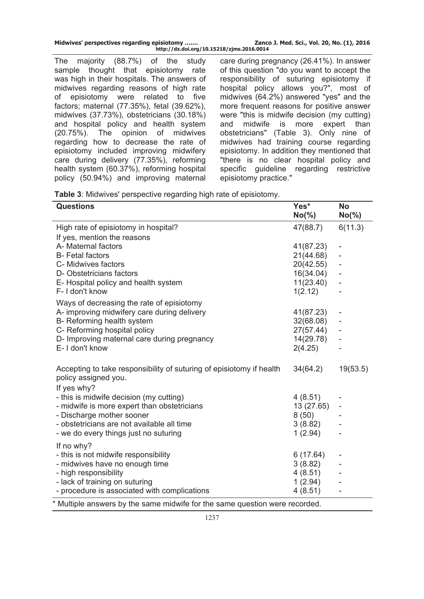| Midwives' perspectives regarding episiotomy | Zanco J. Med. Sci., Vol. 20, No. (1), 2016 |
|---------------------------------------------|--------------------------------------------|
| http://dx.doi.org/10.15218/zjms.2016.0014   |                                            |

The majority (88.7%) of the study sample thought that episiotomy rate was high in their hospitals. The answers of midwives regarding reasons of high rate of episiotomy were related to five factors; maternal (77.35%), fetal (39.62%), midwives (37.73%), obstetricians (30.18%) and hospital policy and health system (20.75%). The opinion of midwives regarding how to decrease the rate of episiotomy included improving midwifery care during delivery (77.35%), reforming health system (60.37%), reforming hospital policy (50.94%) and improving maternal

care during pregnancy (26.41%). In answer of this question "do you want to accept the responsibility of suturing episiotomy if hospital policy allows you?", most of midwives (64.2%) answered "yes" and the more frequent reasons for positive answer were "this is midwife decision (my cutting) and midwife is more expert than obstetricians" (Table 3). Only nine of midwives had training course regarding episiotomy. In addition they mentioned that "there is no clear hospital policy and specific guideline regarding restrictive episiotomy practice."

| Table 3: Midwives' perspective regarding high rate of episiotomy. |  |  |  |  |  |
|-------------------------------------------------------------------|--|--|--|--|--|
|-------------------------------------------------------------------|--|--|--|--|--|

| <b>Questions</b>                                                                             | Yes*<br>$No(\% )$ | <b>No</b><br>$No(\% )$   |
|----------------------------------------------------------------------------------------------|-------------------|--------------------------|
| High rate of episiotomy in hospital?                                                         | 47(88.7)          | 6(11.3)                  |
| If yes, mention the reasons                                                                  |                   |                          |
| A- Maternal factors                                                                          | 41(87.23)         |                          |
| <b>B-Fetal factors</b>                                                                       | 21(44.68)         |                          |
| C- Midwives factors                                                                          | 20(42.55)         |                          |
| D-Obstetricians factors                                                                      | 16(34.04)         |                          |
| E- Hospital policy and health system                                                         | 11(23.40)         | -                        |
| F-I don't know                                                                               | 1(2.12)           |                          |
| Ways of decreasing the rate of episiotomy                                                    |                   |                          |
| A- improving midwifery care during delivery                                                  | 41(87.23)         |                          |
| B- Reforming health system                                                                   | 32(68.08)         |                          |
| C- Reforming hospital policy                                                                 | 27(57.44)         |                          |
| D- Improving maternal care during pregnancy                                                  | 14(29.78)         | -                        |
| E-I don't know                                                                               | 2(4.25)           |                          |
|                                                                                              |                   |                          |
| Accepting to take responsibility of suturing of episiotomy if health<br>policy assigned you. | 34(64.2)          | 19(53.5)                 |
| If yes why?                                                                                  |                   |                          |
| - this is midwife decision (my cutting)                                                      | 4(8.51)           |                          |
| - midwife is more expert than obstetricians                                                  | 13 (27.65)        | $\overline{\phantom{a}}$ |
| - Discharge mother sooner                                                                    | 8(50)             |                          |
| - obstetricians are not available all time                                                   | 3(8.82)           |                          |
| - we do every things just no suturing                                                        | 1(2.94)           |                          |
| If no why?                                                                                   |                   |                          |
| - this is not midwife responsibility                                                         | 6(17.64)          |                          |
| - midwives have no enough time                                                               | 3(8.82)           |                          |
| - high responsibility                                                                        | 4(8.51)           |                          |
| - lack of training on suturing                                                               | 1(2.94)           |                          |
| - procedure is associated with complications                                                 | 4(8.51)           |                          |
| * Multiple answers by the same midwife for the same question were recorded.                  |                   |                          |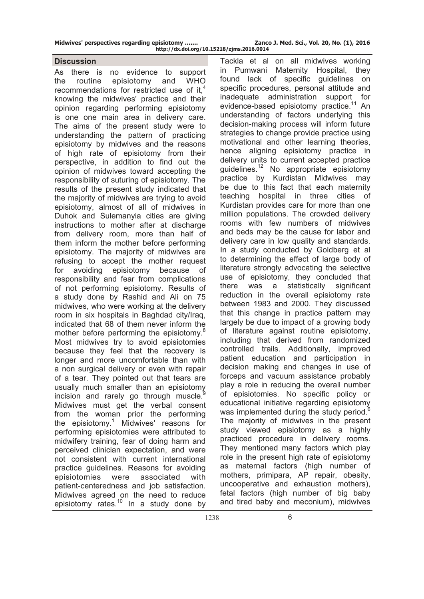**Midwives' perspectives regarding episiotomy ……. Zanco J. Med. Sci., Vol. 20, No. (1), 2016** 

### **Discussion**

As there is no evidence to support the routine episiotomy and WHO recommendations for restricted use of it, $4$ knowing the midwives' practice and their opinion regarding performing episiotomy is one one main area in delivery care. The aims of the present study were to understanding the pattern of practicing episiotomy by midwives and the reasons of high rate of episiotomy from their perspective, in addition to find out the opinion of midwives toward accepting the responsibility of suturing of episiotomy. The results of the present study indicated that the majority of midwives are trying to avoid episiotomy, almost of all of midwives in Duhok and Sulemanyia cities are giving instructions to mother after at discharge from delivery room, more than half of them inform the mother before performing episiotomy. The majority of midwives are refusing to accept the mother request for avoiding episiotomy because of responsibility and fear from complications of not performing episiotomy. Results of a study done by Rashid and Ali on 75 midwives, who were working at the delivery room in six hospitals in Baghdad city/Iraq, indicated that 68 of them never inform the mother before performing the episiotomy.<sup>8</sup> Most midwives try to avoid episiotomies because they feel that the recovery is longer and more uncomfortable than with a non surgical delivery or even with repair of a tear. They pointed out that tears are usually much smaller than an episiotomy incision and rarely go through muscle.<sup>9</sup> Midwives must get the verbal consent from the woman prior the performing the episiotomy.<sup>1</sup> Midwives' reasons for performing episiotomies were attributed to midwifery training, fear of doing harm and perceived clinician expectation, and were not consistent with current international practice guidelines. Reasons for avoiding episiotomies were associated with patient-centeredness and job satisfaction. Midwives agreed on the need to reduce episiotomy rates.<sup>10</sup> In a study done by

Tackla et al on all midwives working in Pumwani Maternity Hospital, they found lack of specific guidelines on specific procedures, personal attitude and inadequate administration support for evidence-based episiotomy practice.<sup>11</sup> An understanding of factors underlying this decision-making process will inform future strategies to change provide practice using motivational and other learning theories, hence aligning episiotomy practice in delivery units to current accepted practice quidelines.<sup>12</sup> No appropriate episiotomy practice by Kurdistan Midwives may be due to this fact that each maternity teaching hospital in three cities of Kurdistan provides care for more than one million populations. The crowded delivery rooms with few numbers of midwives and beds may be the cause for labor and delivery care in low quality and standards. In a study conducted by Goldberg et al to determining the effect of large body of literature strongly advocating the selective use of episiotomy, they concluded that there was a statistically significant reduction in the overall episiotomy rate between 1983 and 2000. They discussed that this change in practice pattern may largely be due to impact of a growing body of literature against routine episiotomy, including that derived from randomized controlled trails. Additionally, improved patient education and participation in decision making and changes in use of forceps and vacuum assistance probably play a role in reducing the overall number of episiotomies. No specific policy or educational initiative regarding episiotomy was implemented during the study period.<sup>6</sup> The majority of midwives in the present study viewed episiotomy as a highly practiced procedure in delivery rooms. They mentioned many factors which play role in the present high rate of episiotomy as maternal factors (high number of mothers, primipara, AP repair, obesity, uncooperative and exhaustion mothers), fetal factors (high number of big baby and tired baby and meconium), midwives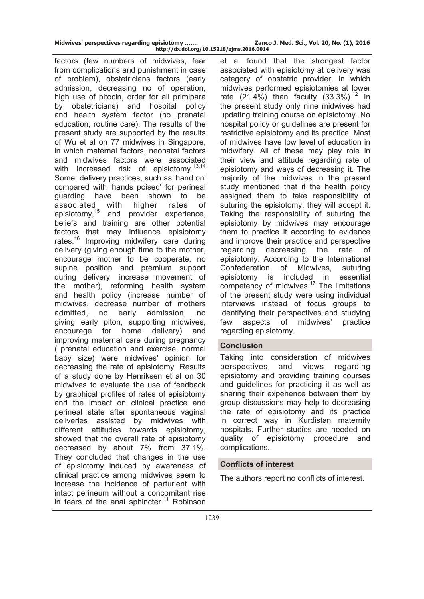|  | Midwives' perspectives regarding episiotomy |                                           | Zanc |
|--|---------------------------------------------|-------------------------------------------|------|
|  |                                             | http://dx.doi.org/10.15218/zjms.2016.0014 |      |

factors (few numbers of midwives, fear from complications and punishment in case of problem), obstetricians factors (early admission, decreasing no of operation, high use of pitocin, order for all primipara by obstetricians) and hospital policy and health system factor (no prenatal education, routine care). The results of the present study are supported by the results of Wu et al on 77 midwives in Singapore, in which maternal factors, neonatal factors and midwives factors were associated with increased risk of episiotomy. $^{13,14}$ Some delivery practices, such as 'hand on' compared with 'hands poised' for perineal guarding have been shown to be associated with higher rates of<br>episiotomy,<sup>15</sup> and provider experience, and provider experience, beliefs and training are other potential factors that may influence episiotomy rates.16 Improving midwifery care during delivery (giving enough time to the mother, encourage mother to be cooperate, no supine position and premium support during delivery, increase movement of the mother), reforming health system and health policy (increase number of midwives, decrease number of mothers admitted, no early admission, no giving early piton, supporting midwives, encourage for home delivery) and improving maternal care during pregnancy ( prenatal education and exercise, normal baby size) were midwives' opinion for decreasing the rate of episiotomy. Results of a study done by Henriksen et al on 30 midwives to evaluate the use of feedback by graphical profiles of rates of episiotomy and the impact on clinical practice and perineal state after spontaneous vaginal deliveries assisted by midwives with different attitudes towards episiotomy, showed that the overall rate of episiotomy decreased by about 7% from 37.1%. They concluded that changes in the use of episiotomy induced by awareness of clinical practice among midwives seem to increase the incidence of parturient with intact perineum without a concomitant rise in tears of the anal sphincter.<sup>11</sup> Robinson **Midden Bidger 1. Midden Excited Excited** Political Political Political Political Political Political Political Poli

et al found that the strongest factor associated with episiotomy at delivery was category of obstetric provider, in which midwives performed episiotomies at lower rate  $(21.4\%)$  than faculty  $(33.3\%)$ <sup>12</sup> In the present study only nine midwives had updating training course on episiotomy. No hospital policy or guidelines are present for restrictive episiotomy and its practice. Most of midwives have low level of education in midwifery. All of these may play role in their view and attitude regarding rate of episiotomy and ways of decreasing it. The majority of the midwives in the present study mentioned that if the health policy assigned them to take responsibility of suturing the episiotomy, they will accept it. Taking the responsibility of suturing the episiotomy by midwives may encourage them to practice it according to evidence and improve their practice and perspective regarding decreasing the rate of episiotomy. According to the International Confederation of Midwives, suturing episiotomy is included in essential competency of midwives.17 The limitations of the present study were using individual interviews instead of focus groups to identifying their perspectives and studying few aspects of midwives' practice regarding episiotomy.

# **Conclusion**

Taking into consideration of midwives perspectives and views regarding episiotomy and providing training courses and guidelines for practicing it as well as sharing their experience between them by group discussions may help to decreasing the rate of episiotomy and its practice in correct way in Kurdistan maternity hospitals. Further studies are needed on quality of episiotomy procedure and complications.

# **Conflicts of interest**

The authors report no conflicts of interest.